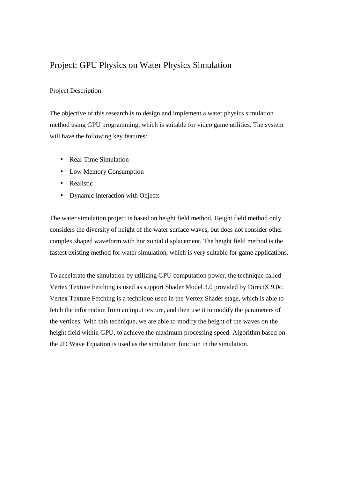## Project: GPU Physics on Water Physics Simulation

## Project Description:

The objective of this research is to design and implement a water physics simulation method using GPU programming, which is suitable for video game utilities. The system will have the following key features:

- Real-Time Simulation
- Low Memory Consumption
- Realistic
- Dynamic Interaction with Objects

The water simulation project is based on height field method. Height field method only considers the diversity of height of the water surface waves, but does not consider other complex shaped waveform with horizontal displacement. The height field method is the fastest existing method for water simulation, which is very suitable for game applications.

To accelerate the simulation by utilizing GPU computation power, the technique called Vertex Texture Fetching is used as support Shader Model 3.0 provided by DirectX 9.0c. Vertex Texture Fetching is a technique used in the Vertex Shader stage, which is able to fetch the information from an input texture, and then use it to modify the parameters of the vertices. With this technique, we are able to modify the height of the waves on the height field within GPU, to achieve the maximum processing speed. Algorithm based on the 2D Wave Equation is used as the simulation function in the simulation.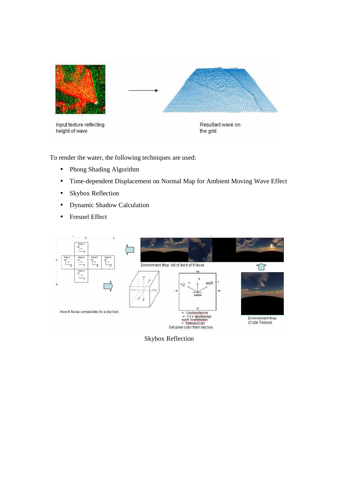

To render the water, the following techniques are used:

- Phong Shading Algorithm
- Time-dependent Displacement on Normal Map for Ambient Moving Wave Effect
- Skybox Reflection
- Dynamic Shadow Calculation
- Fresnel Effect



Skybox Reflection